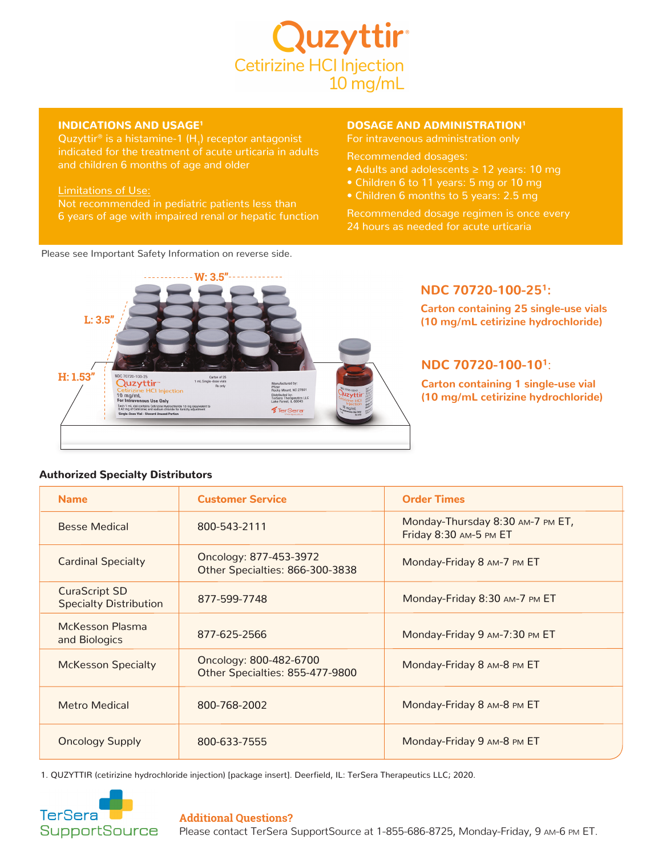

## INDICATIONS AND USAGE1

Quzyttir<sup>®</sup> is a histamine-1  $(H_1)$  receptor antagonist and children 6 months of age and older

#### Limitations of Use:

6 years of age with impaired renal or hepatic function

### DOSAGE AND ADMINISTRATION1

For intravenous administration only

Recommended dosages:

- Adults and adolescents ≥ 12 years: 10 mg
- Children 6 to 11 years: 5 mg or 10 mg
- Children 6 months to 5 years: 2.5 mg

Recommended dosage regimen is once every 24 hours as needed for acute urticaria





## **NDC 70720-100-25<sup>1</sup> :**

**Carton containing 25 single-use vials (10 mg/mL cetirizine hydrochloride)**

# **NDC 70720-100-10<sup>1</sup>** :

**Carton containing 1 single-use vial (10 mg/mL cetirizine hydrochloride)**

## Authorized Specialty Distributors

| <b>Name</b>                                           | <b>Customer Service</b>                                   | <b>Order Times</b>                                         |
|-------------------------------------------------------|-----------------------------------------------------------|------------------------------------------------------------|
| <b>Besse Medical</b>                                  | 800-543-2111                                              | Monday-Thursday 8:30 AM-7 PM ET,<br>Friday 8:30 AM-5 PM ET |
| <b>Cardinal Specialty</b>                             | Oncology: 877-453-3972<br>Other Specialties: 866-300-3838 | Monday-Friday 8 AM-7 PM ET                                 |
| <b>CuraScript SD</b><br><b>Specialty Distribution</b> | 877-599-7748                                              | Monday-Friday 8:30 AM-7 PM ET                              |
| <b>McKesson Plasma</b><br>and Biologics               | 877-625-2566                                              | Monday-Friday 9 AM-7:30 PM ET                              |
| <b>McKesson Specialty</b>                             | Oncology: 800-482-6700<br>Other Specialties: 855-477-9800 | Monday-Friday 8 AM-8 PM ET                                 |
| <b>Metro Medical</b>                                  | 800-768-2002                                              | Monday-Friday 8 AM-8 PM ET                                 |
| <b>Oncology Supply</b>                                | 800-633-7555                                              | Monday-Friday 9 AM-8 PM ET                                 |

1. QUZYTTIR (cetirizine hydrochloride injection) [package insert]. Deerfield, IL: TerSera Therapeutics LLC; 2020.



#### **Additional Questions?**

Please contact TerSera SupportSource at 1-855-686-8725, Monday-Friday, 9 am-6 pm ET.